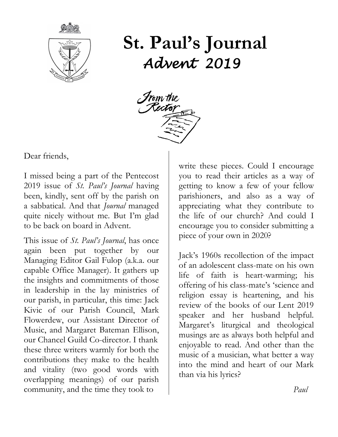

# **St. Paul's Journal** *Advent 2019*



Dear friends,

I missed being a part of the Pentecost 2019 issue of *St. Paul's Journal* having been, kindly, sent off by the parish on a sabbatical. And that *Journal* managed quite nicely without me. But I'm glad to be back on board in Advent.

This issue of *St. Paul's Journal*, has once again been put together by our Managing Editor Gail Fulop (a.k.a. our capable Office Manager). It gathers up the insights and commitments of those in leadership in the lay ministries of our parish, in particular, this time: Jack Kivic of our Parish Council, Mark Flowerdew, our Assistant Director of Music, and Margaret Bateman Ellison, our Chancel Guild Co-director. I thank these three writers warmly for both the contributions they make to the health and vitality (two good words with overlapping meanings) of our parish community, and the time they took to

write these pieces. Could I encourage you to read their articles as a way of getting to know a few of your fellow parishioners, and also as a way of appreciating what they contribute to the life of our church? And could I encourage you to consider submitting a piece of your own in 2020?

Jack's 1960s recollection of the impact of an adolescent class-mate on his own life of faith is heart-warming; his offering of his class-mate's 'science and religion essay is heartening, and his review of the books of our Lent 2019 speaker and her husband helpful. Margaret's liturgical and theological musings are as always both helpful and enjoyable to read. And other than the music of a musician, what better a way into the mind and heart of our Mark than via his lyrics?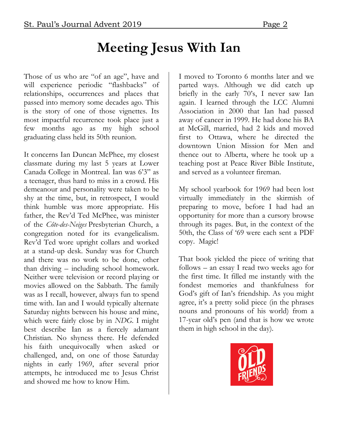# **Meeting Jesus With Ian**

Those of us who are "of an age", have and will experience periodic "flashbacks" of relationships, occurrences and places that passed into memory some decades ago. This is the story of one of those vignettes. Its most impactful recurrence took place just a few months ago as my high school graduating class held its 50th reunion.

It concerns Ian Duncan McPhee, my closest classmate during my last 5 years at Lower Canada College in Montreal. Ian was 6'3" as a teenager, thus hard to miss in a crowd. His demeanour and personality were taken to be shy at the time, but, in retrospect, I would think humble was more appropriate. His father, the Rev'd Ted McPhee, was minister of the *Côte-des-Neiges* Presbyterian Church, a congregation noted for its evangelicalism. Rev'd Ted wore upright collars and worked at a stand-up desk. Sunday was for Church and there was no work to be done, other than driving – including school homework. Neither were television or record playing or movies allowed on the Sabbath. The family was as I recall, however, always fun to spend time with. Ian and I would typically alternate Saturday nights between his house and mine, which were fairly close by in *NDG*. I might best describe Ian as a fiercely adamant Christian. No shyness there. He defended his faith unequivocally when asked or challenged, and, on one of those Saturday nights in early 1969, after several prior attempts, he introduced me to Jesus Christ and showed me how to know Him.

I moved to Toronto 6 months later and we parted ways. Although we did catch up briefly in the early 70's, I never saw Ian again. I learned through the LCC Alumni Association in 2000 that Ian had passed away of cancer in 1999. He had done his BA at McGill, married, had 2 kids and moved first to Ottawa, where he directed the downtown Union Mission for Men and thence out to Alberta, where he took up a teaching post at Peace River Bible Institute, and served as a volunteer fireman.

My school yearbook for 1969 had been lost virtually immediately in the skirmish of preparing to move, before I had had an opportunity for more than a cursory browse through its pages. But, in the context of the 50th, the Class of '69 were each sent a PDF copy. Magic!

That book yielded the piece of writing that follows – an essay I read two weeks ago for the first time. It filled me instantly with the fondest memories and thankfulness for God's gift of Ian's friendship. As you might agree, it's a pretty solid piece (in the phrases nouns and pronouns of his world) from a 17-year old's pen (and that is how we wrote them in high school in the day).

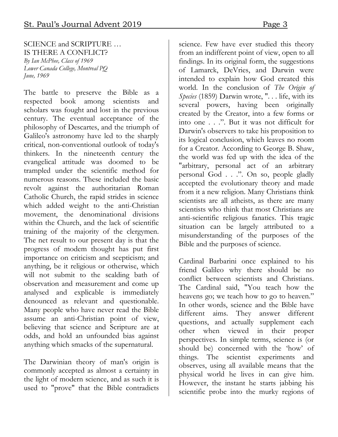#### SCIENCE and SCRIPTURE … IS THERE A CONFLICT? *By Ian McPhee, Class of 1969 Lower Canada College, Montreal PQ June, 1969*

The battle to preserve the Bible as a respected book among scientists and scholars was fought and lost in the previous century. The eventual acceptance of the philosophy of Descartes, and the triumph of Galileo's astronomy have led to the sharply critical, non-conventional outlook of today's thinkers. In the nineteenth century the evangelical attitude was doomed to be trampled under the scientific method for numerous reasons. These included the basic revolt against the authoritarian Roman Catholic Church, the rapid strides in science which added weight to the anti-Christian movement, the denominational divisions within the Church, and the lack of scientific training of the majority of the clergymen. The net result to our present day is that the progress of modem thought has put first importance on criticism and scepticism; and anything, be it religious or otherwise, which will not submit to the scalding bath of observation and measurement and come up analysed and explicable is immediately denounced as relevant and questionable. Many people who have never read the Bible assume an anti-Christian point of view, believing that science and Scripture are at odds, and hold an unfounded bias against anything which smacks of the supernatural.

The Darwinian theory of man's origin is commonly accepted as almost a certainty in the light of modern science, and as such it is used to "prove" that the Bible contradicts

science. Few have ever studied this theory from an indifferent point of view, open to all findings. In its original form, the suggestions of Lamarck, DeVries, and Darwin were intended to explain how God created this world. In the conclusion of *The Origin of Species* (1859) Darwin wrote, ". . . life, with its several powers, having been originally created by the Creator, into a few forms or into one . . .". But it was not difficult for Darwin's observers to take his proposition to its logical conclusion, which leaves no room for a Creator. According to George B. Shaw, the world was fed up with the idea of the "arbitrary, personal act of an arbitrary personal God . . .". On so, people gladly accepted the evolutionary theory and made from it a new religion. Many Christians think scientists are all atheists, as there are many scientists who think that most Christians are anti-scientific religious fanatics. This tragic situation can be largely attributed to a misunderstanding of the purposes of the Bible and the purposes of science.

Cardinal Barbarini once explained to his friend Galileo why there should be no conflict between scientists and Christians. The Cardinal said, "You teach how the heavens go; we teach how to go to heaven." In other words, science and the Bible have different aims. They answer different questions, and actually supplement each other when viewed in their proper perspectives. In simple terms, science is (or should be) concerned with the 'how' of things. The scientist experiments and observes, using all available means that the physical world he lives in can give him. However, the instant he starts jabbing his scientific probe into the murky regions of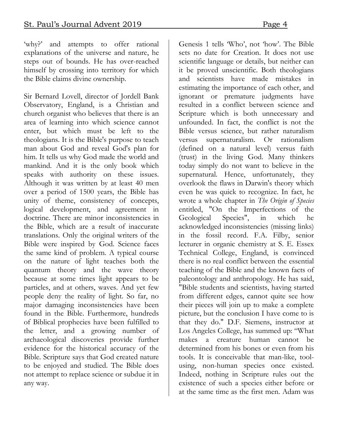'why?' and attempts to offer rational explanations of the universe and nature, he steps out of bounds. He has over-reached himself by crossing into territory for which the Bible claims divine ownership.

Sir Bernard Lovell, director of Jordell Bank Observatory, England, is a Christian and church organist who believes that there is an area of learning into which science cannot enter, but which must be left to the theologians. It is the Bible's purpose to teach man about God and reveal God's plan for him. It tells us why God made the world and mankind. And it is the only book which speaks with authority on these issues. Although it was written by at least 40 men over a period of 1500 years, the Bible has unity of theme, consistency of concepts, logical development, and agreement in doctrine. There are minor inconsistencies in the Bible, which are a result of inaccurate translations. Only the original writers of the Bible were inspired by God. Science faces the same kind of problem. A typical course on the nature of light teaches both the quantum theory and the wave theory because at some times light appears to be particles, and at others, waves. And yet few people deny the reality of light. So far, no major damaging inconsistencies have been found in the Bible. Furthermore, hundreds of Biblical prophecies have been fulfilled to the letter, and a growing number of archaeological discoveries provide further evidence for the historical accuracy of the Bible. Scripture says that God created nature to be enjoyed and studied. The Bible does not attempt to replace science or subdue it in any way.

Genesis 1 tells 'Who', not 'how'. The Bible sets no date for Creation. It does not use scientific language or details, but neither can it be proved unscientific. Both theologians and scientists have made mistakes in estimating the importance of each other, and ignorant or premature judgments have resulted in a conflict between science and Scripture which is both unnecessary and unfounded. In fact, the conflict is not the Bible versus science, but rather naturalism versus supernaturalism. Or rationalism (defined on a natural level) versus faith (trust) in the living God. Many thinkers today simply do not want to believe in the supernatural. Hence, unfortunately, they overlook the flaws in Darwin's theory which even he was quick to recognize. In fact, he wrote a whole chapter in *The Origin of Species*  entitled, "On the Imperfections of the Geological Species", in which he acknowledged inconsistencies (missing links) in the fossil record. F.A. Filby, senior lecturer in organic chemistry at S. E. Essex Technical College, England, is convinced there is no real conflict between the essential teaching of the Bible and the known facts of paleontology and anthropology. He has said, "Bible students and scientists, having started from different edges, cannot quite see how their pieces will join up to make a complete picture, but the conclusion I have come to is that they do." D.F. Siemens, instructor at Los Angeles College, has summed up: "What makes a creature human cannot be determined from his bones or even from his tools. It is conceivable that man-like, toolusing, non-human species once existed. Indeed, nothing in Scripture rules out the existence of such a species either before or at the same time as the first men. Adam was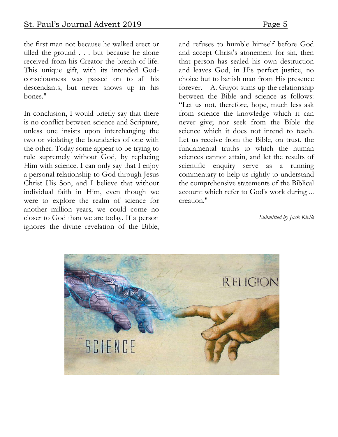the first man not because he walked erect or tilled the ground . . . but because he alone received from his Creator the breath of life. This unique gift, with its intended Godconsciousness was passed on to all his descendants, but never shows up in his bones."

In conclusion, I would briefly say that there is no conflict between science and Scripture, unless one insists upon interchanging the two or violating the boundaries of one with the other. Today some appear to be trying to rule supremely without God, by replacing Him with science. I can only say that I enjoy a personal relationship to God through Jesus Christ His Son, and I believe that without individual faith in Him, even though we were to explore the realm of science for another million years, we could come no closer to God than we are today. If a person ignores the divine revelation of the Bible,

and refuses to humble himself before God and accept Christ's atonement for sin, then that person has sealed his own destruction and leaves God, in His perfect justice, no choice but to banish man from His presence forever. A. Guyot sums up the relationship between the Bible and science as follows: "Let us not, therefore, hope, much less ask from science the knowledge which it can never give; nor seek from the Bible the science which it does not intend to teach. Let us receive from the Bible, on trust, the fundamental truths to which the human sciences cannot attain, and let the results of scientific enquiry serve as a running commentary to help us rightly to understand the comprehensive statements of the Biblical account which refer to God's work during ... creation."

*Submitted by Jack Kivik*

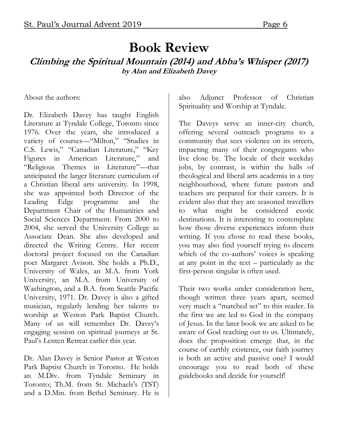### **Book Review Climbing the Spiritual Mountain (2014) and Abba's Whisper (2017) by Alan and Elizabeth Davey**

About the authors:

Dr. Elizabeth Davey has taught English Literature at Tyndale College, Toronto since 1976. Over the years, she introduced a variety of courses—"Milton," "Studies in C.S. Lewis," "Canadian Literature," "Key Figures in American Literature," and "Religious Themes in Literature"—that anticipated the larger literature curriculum of a Christian liberal arts university. In 1998, she was appointed both Director of the Leading Edge programme and the Department Chair of the Humanities and Social Sciences Department. From 2000 to 2004, she served the University College as Associate Dean. She also developed and directed the Writing Centre. Her recent doctoral project focused on the Canadian poet Margaret Avison. She holds a Ph.D., University of Wales, an M.A. from York University, an M.A. from University of Washington, and a B.A. from Seattle Pacific University, 1971. Dr. Davey is also a gifted musician, regularly lending her talents to worship at Weston Park Baptist Church. Many of us will remember Dr. Davey's engaging session on spiritual journeys at St. Paul's Lenten Retreat earlier this year.

Dr. Alan Davey is Senior Pastor at Weston Park Baptist Church in Toronto. He holds an M.Div. from Tyndale Seminary in Toronto; Th.M. from St. Michaels's (TST) and a D.Min. from Bethel Seminary. He is

also Adjunct Professor of Christian Spirituality and Worship at Tyndale.

The Daveys serve an inner-city church, offering several outreach programs to a community that sees violence on its streets, impacting many of their congregants who live close by. The locale of their weekday jobs, by contrast, is within the halls of theological and liberal arts academia in a tiny neighbourhood, where future pastors and teachers are prepared for their careers. It is evident also that they are seasoned travellers to what might be considered exotic destinations. It is interesting to contemplate how those diverse experiences inform their writing. If you chose to read these books, you may also find yourself trying to discern which of the co-authors' voices is speaking at any point in the text – particularly as the first-person singular is often used.

Their two works under consideration here, though written three years apart, seemed very much a "matched set" to this reader. In the first we are led to God in the company of Jesus. In the later book we are asked to be aware of God reaching out to us. Ultimately, does the proposition emerge that, in the course of earthly existence, our faith journey is both an active and passive one? I would encourage you to read both of these guidebooks and decide for yourself!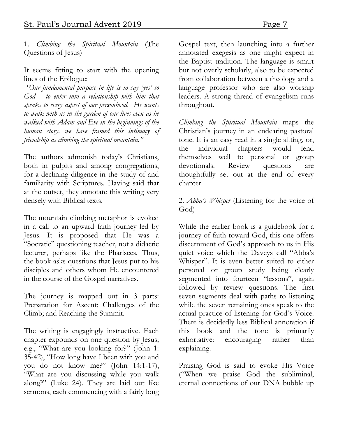1. *Climbing the Spiritual Mountain* (The Questions of Jesus)

It seems fitting to start with the opening lines of the Epilogue:

*"Our fundamental purpose in life is to say 'yes' to God – to enter into a relationship with him that speaks to every aspect of our personhood. He wants to walk with us in the garden of our lives even as he walked with Adam and Eve in the beginnings of the human story, we have framed this intimacy of friendship as climbing the spiritual mountain."*

The authors admonish today's Christians, both in pulpits and among congregations, for a declining diligence in the study of and familiarity with Scriptures. Having said that at the outset, they annotate this writing very densely with Biblical texts.

The mountain climbing metaphor is evoked in a call to an upward faith journey led by Jesus. It is proposed that He was a "Socratic" questioning teacher, not a didactic lecturer, perhaps like the Pharisees. Thus, the book asks questions that Jesus put to his disciples and others whom He encountered in the course of the Gospel narratives.

The journey is mapped out in 3 parts: Preparation for Ascent; Challenges of the Climb; and Reaching the Summit.

The writing is engagingly instructive. Each chapter expounds on one question by Jesus; e.g., "What are you looking for?" (John 1: 35-42), "How long have I been with you and you do not know me?" (John 14:1-17), "What are you discussing while you walk along?" (Luke 24). They are laid out like sermons, each commencing with a fairly long

Gospel text, then launching into a further annotated exegesis as one might expect in the Baptist tradition. The language is smart but not overly scholarly, also to be expected from collaboration between a theology and a language professor who are also worship leaders. A strong thread of evangelism runs throughout.

*Climbing the Spiritual Mountain* maps the Christian's journey in an endearing pastoral tone. It is an easy read in a single sitting, or, the individual chapters would lend themselves well to personal or group devotionals. Review questions are thoughtfully set out at the end of every chapter.

#### 2. *Abba's Whisper* (Listening for the voice of God)

While the earlier book is a guidebook for a journey of faith toward God, this one offers discernment of God's approach to us in His quiet voice which the Daveys call "Abba's Whisper". It is even better suited to either personal or group study being clearly segmented into fourteen "lessons", again followed by review questions. The first seven segments deal with paths to listening while the seven remaining ones speak to the actual practice of listening for God's Voice. There is decidedly less Biblical annotation if this book and the tone is primarily exhortative: encouraging rather than explaining.

Praising God is said to evoke His Voice ("When we praise God the subliminal, eternal connections of our DNA bubble up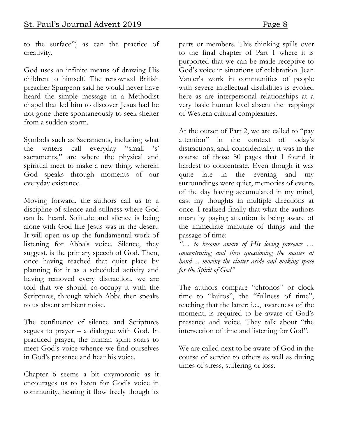to the surface") as can the practice of creativity.

God uses an infinite means of drawing His children to himself. The renowned British preacher Spurgeon said he would never have heard the simple message in a Methodist chapel that led him to discover Jesus had he not gone there spontaneously to seek shelter from a sudden storm.

Symbols such as Sacraments, including what the writers call everyday "small sacraments," are where the physical and spiritual meet to make a new thing, wherein God speaks through moments of our everyday existence.

Moving forward, the authors call us to a discipline of silence and stillness where God can be heard. Solitude and silence is being alone with God like Jesus was in the desert. It will open us up the fundamental work of listening for Abba's voice. Silence, they suggest, is the primary speech of God. Then, once having reached that quiet place by planning for it as a scheduled activity and having removed every distraction, we are told that we should co-occupy it with the Scriptures, through which Abba then speaks to us absent ambient noise.

The confluence of silence and Scriptures segues to prayer – a dialogue with God. In practiced prayer, the human spirit soars to meet God's voice whence we find ourselves in God's presence and hear his voice.

Chapter 6 seems a bit oxymoronic as it encourages us to listen for God's voice in community, hearing it flow freely though its

parts or members. This thinking spills over to the final chapter of Part 1 where it is purported that we can be made receptive to God's voice in situations of celebration. Jean Vanier's work in communities of people with severe intellectual disabilities is evoked here as are interpersonal relationships at a very basic human level absent the trappings of Western cultural complexities.

At the outset of Part 2, we are called to "pay attention" in the context of today's distractions, and, coincidentally, it was in the course of those 80 pages that I found it hardest to concentrate. Even though it was quite late in the evening and my surroundings were quiet, memories of events of the day having accumulated in my mind, cast my thoughts in multiple directions at once. I realized finally that what the authors mean by paying attention is being aware of the immediate minutiae of things and the passage of time:

*"… to become aware of His loving presence … concentrating and then questioning the matter at hand ... moving the clutter aside and making space for the Spirit of God"*

The authors compare "chronos" or clock time to "kairos", the "fullness of time", teaching that the latter; i.e., awareness of the moment, is required to be aware of God's presence and voice. They talk about "the intersection of time and listening for God".

We are called next to be aware of God in the course of service to others as well as during times of stress, suffering or loss.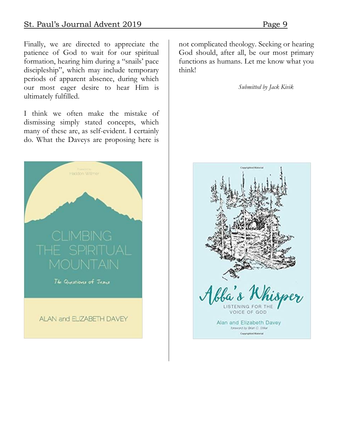Finally, we are directed to appreciate the patience of God to wait for our spiritual formation, hearing him during a "snails' pace discipleship", which may include temporary periods of apparent absence, during which our most eager desire to hear Him is ultimately fulfilled.

I think we often make the mistake of dismissing simply stated concepts, which many of these are, as self-evident. I certainly do. What the Daveys are proposing here is



ALAN and ELIZABETH DAVEY

not complicated theology. Seeking or hearing God should, after all, be our most primary functions as humans. Let me know what you think!

*Submitted by Jack Kivik* 

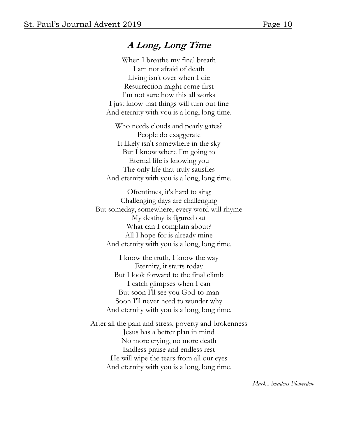### **A Long, Long Time**

When I breathe my final breath I am not afraid of death Living isn't over when I die Resurrection might come first I'm not sure how this all works I just know that things will turn out fine And eternity with you is a long, long time.

Who needs clouds and pearly gates? People do exaggerate It likely isn't somewhere in the sky But I know where I'm going to Eternal life is knowing you The only life that truly satisfies And eternity with you is a long, long time.

Oftentimes, it's hard to sing Challenging days are challenging But someday, somewhere, every word will rhyme My destiny is figured out What can I complain about? All I hope for is already mine And eternity with you is a long, long time.

I know the truth, I know the way Eternity, it starts today But I look forward to the final climb I catch glimpses when I can But soon I'll see you God-to-man Soon I'll never need to wonder why And eternity with you is a long, long time.

After all the pain and stress, poverty and brokenness Jesus has a better plan in mind No more crying, no more death Endless praise and endless rest He will wipe the tears from all our eyes And eternity with you is a long, long time.

*Mark Amadeus Flowerdew*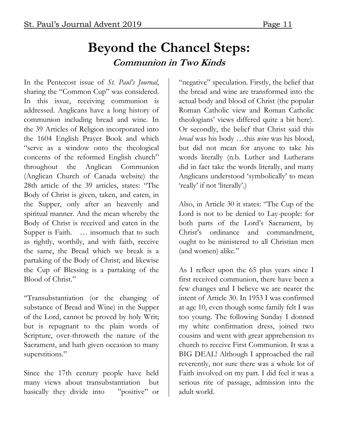### **Beyond the Chancel Steps: Communion in Two Kinds**

In the Pentecost issue of *St. Paul's Journal*, sharing the "Common Cup" was considered. In this issue, receiving communion is addressed. Anglicans have a long history of communion including bread and wine. In the 39 Articles of Religion incorporated into the 1604 English Prayer Book and which "serve as a window onto the theological concerns of the reformed English church" throughout the Anglican Communion (Anglican Church of Canada website) the 28th article of the 39 articles, states: "The Body of Christ is given, taken, and eaten, in the Supper, only after an heavenly and spiritual manner. And the mean whereby the Body of Christ is received and eaten in the Supper is Faith. ... insomuch that to such as rightly, worthily, and with faith, receive the same, the Bread which we break is a partaking of the Body of Christ; and likewise the Cup of Blessing is a partaking of the Blood of Christ."

"Transubstantiation (or the changing of substance of Bread and Wine) in the Supper of the Lord, cannot be proved by holy Writ; but is repugnant to the plain words of Scripture, over-throweth the nature of the Sacrament, and hath given occasion to many superstitions."

Since the 17th century people have held many views about transubstantiation but basically they divide into "positive" or

"negative" speculation. Firstly, the belief that the bread and wine are transformed into the actual body and blood of Christ (the popular Roman Catholic view and Roman Catholic theologians' views differed quite a bit here). Or secondly, the belief that Christ said this *bread* was his body …this *wine* was his blood, but did not mean for anyone to take his words literally (n.b. Luther and Lutherans did in fact take the words literally, and many Anglicans understood 'symbolically' to mean 'really' if not 'literally'.)

Also, in Article 30 it states: "The Cup of the Lord is not to be denied to Lay-people: for both parts of the Lord's Sacrament, by Christ's ordinance and commandment, ought to be ministered to all Christian men (and women) alike."

As I reflect upon the 65 plus years since I first received communion, there have been a few changes and I believe we are nearer the intent of Article 30. In 1953 I was confirmed at age 10, even though some family felt I was too young. The following Sunday I donned my white confirmation dress, joined two cousins and went with great apprehension to church to receive First Communion. It was a BIG DEAL! Although I approached the rail reverently, not sure there was a whole lot of Faith involved on my part. I did feel it was a serious rite of passage, admission into the adult world.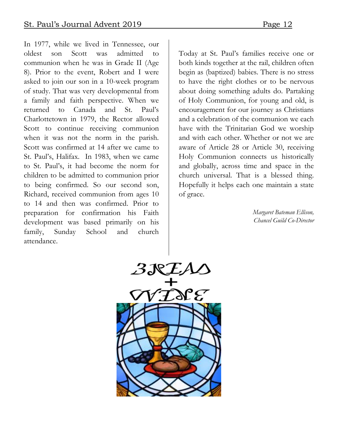In 1977, while we lived in Tennessee, our oldest son Scott was admitted to communion when he was in Grade II (Age 8). Prior to the event, Robert and I were asked to join our son in a 10-week program of study. That was very developmental from a family and faith perspective. When we returned to Canada and St. Paul's Charlottetown in 1979, the Rector allowed Scott to continue receiving communion when it was not the norm in the parish. Scott was confirmed at 14 after we came to St. Paul's, Halifax. In 1983, when we came to St. Paul's, it had become the norm for children to be admitted to communion prior to being confirmed. So our second son, Richard, received communion from ages 10 to 14 and then was confirmed. Prior to preparation for confirmation his Faith development was based primarily on his family, Sunday School and church attendance.

Today at St. Paul's families receive one or both kinds together at the rail, children often begin as (baptized) babies. There is no stress to have the right clothes or to be nervous about doing something adults do. Partaking of Holy Communion, for young and old, is encouragement for our journey as Christians and a celebration of the communion we each have with the Trinitarian God we worship and with each other. Whether or not we are aware of Article 28 or Article 30, receiving Holy Communion connects us historically and globally, across time and space in the church universal. That is a blessed thing. Hopefully it helps each one maintain a state of grace.

> *Margaret Bateman Ellison, Chancel Guild Co-Director*

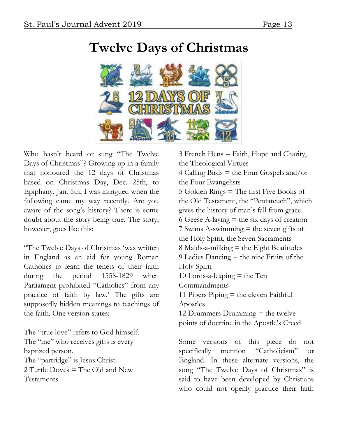

# **Twelve Days of Christmas**

Who hasn't heard or sung "The Twelve Days of Christmas"? Growing up in a family that honoured the 12 days of Christmas based on Christmas Day, Dec. 25th, to Epiphany, Jan. 5th, I was intrigued when the following came my way recently. Are you aware of the song's history? There is some doubt about the story being true. The story, however, goes like this:

"The Twelve Days of Christmas 'was written in England as an aid for young Roman Catholics to learn the tenets of their faith during the period 1558-1829 when Parliament prohibited "Catholics" from any practice of faith by law.' The gifts are supposedly hidden meanings to teachings of the faith. One version states:

The "true love" refers to God himself. The "me" who receives gifts is every baptized person. The "partridge" is Jesus Christ. 2 Turtle Doves = The Old and New Testaments

3 French Hens = Faith, Hope and Charity, the Theological Virtues 4 Calling Birds  $=$  the Four Gospels and/or the Four Evangelists 5 Golden Rings = The first Five Books of the Old Testament, the "Pentateuch", which gives the history of man's fall from grace. 6 Geese A-laying  $=$  the six days of creation 7 Swans A-swimming = the seven gifts of the Holy Spirit, the Seven Sacraments 8 Maids-a-milking  $=$  the Eight Beatitudes 9 Ladies Dancing = the nine Fruits of the Holy Spirit 10 Lords-a-leaping  $=$  the Ten Commandments 11 Pipers Piping = the eleven Faithful Apostles 12 Drummers Drumming  $=$  the twelve points of doctrine in the Apostle's Creed

Some versions of this piece do not specifically mention "Catholicism" or England. In these alternate versions, the song "The Twelve Days of Christmas" is said to have been developed by Christians who could not openly practice their faith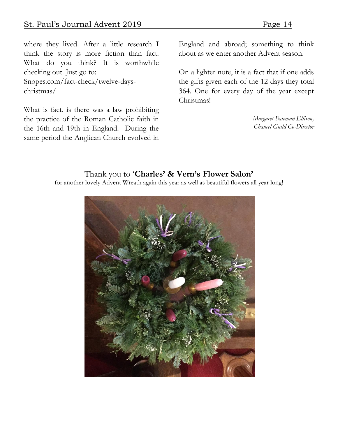where they lived. After a little research I think the story is more fiction than fact. What do you think? It is worthwhile checking out. Just go to: Snopes.com/fact-check/twelve-dayschristmas/

What is fact, is there was a law prohibiting the practice of the Roman Catholic faith in the 16th and 19th in England. During the same period the Anglican Church evolved in

England and abroad; something to think about as we enter another Advent season.

On a lighter note, it is a fact that if one adds the gifts given each of the 12 days they total 364. One for every day of the year except Christmas!

> *Margaret Bateman Ellison, Chancel Guild Co-Director*

### Thank you to '**Charles' & Vern's Flower Salon'**

for another lovely Advent Wreath again this year as well as beautiful flowers all year long!

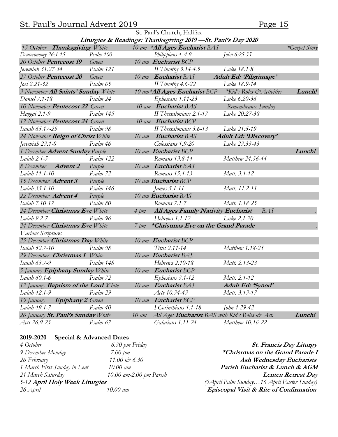### St. Paul's Journal Advent 2019<br>Page 15

| St. Paul's Church, Halifax                                    |           |                     |                                                |                                      |               |  |  |
|---------------------------------------------------------------|-----------|---------------------|------------------------------------------------|--------------------------------------|---------------|--|--|
| Liturgies & Readings: Thanksgiving 2019 - St. Paul's Day 2020 |           |                     |                                                |                                      |               |  |  |
| 13 October Thanksgiving White                                 |           |                     | 10 am *All Ages Eucharist BAS                  |                                      | *Gospel Story |  |  |
| Deuteronomy 26:1-15                                           | Psalm 100 |                     | Philippians 4.4-9                              | John 6:25-35                         |               |  |  |
| 20 October Pentecost 19                                       | Green     |                     | 10 am Eucharist BCP                            |                                      |               |  |  |
| Jeremiah 31.27-34                                             | Psalm 121 |                     | II Timothy $3.14-4.5$                          | Luke 18.1-8                          |               |  |  |
| 27 October Pentecost 20                                       | Green     |                     | 10 am Eucharist BAS                            | Adult Ed: 'Pilgrimage'               |               |  |  |
| Joel 2.21-32                                                  | Psalm 65  |                     | II Timothy $4.6-22$                            | Luke 18.9-14                         |               |  |  |
| 3 November All Saints' Sunday White                           |           |                     | 10 am*All Ages Eucharist BCP                   | <i>*Kid's Roles &amp; Activities</i> | Lunch!        |  |  |
| Daniel 7.1-18                                                 | Psalm 24  |                     | Ephesians 1.11-23                              | Luke 6.20-36                         |               |  |  |
| 10 November Pentecost 22 Green                                |           |                     | 10 am Eucharist BAS                            | Remembrance Sunday                   |               |  |  |
| Haggai 2.1-9                                                  | Psalm 145 |                     | II Thessalonians 2.1-17                        | Luke 20:27-38                        |               |  |  |
| 17 November Pentecost 24 Green                                |           |                     | 10 am Eucharist BCP                            |                                      |               |  |  |
| Isaiah 65.17-25                                               | Psalm 98  |                     | II Thessalonians 3.6-13                        | Luke 21:5-19                         |               |  |  |
| 24 November Reign of Christ White                             |           | $10 \text{ am}$     | Eucharist BAS                                  | <b>Adult Ed: 'Discovery'</b>         |               |  |  |
| Jeremiah 23.1-8                                               | Psalm 46  |                     | Colossians 1.9-20                              | Luke 23.33-43                        |               |  |  |
| 1 December Advent Sunday Purple                               |           |                     | 10 am Eucharist BCP                            |                                      | Lunch!        |  |  |
| Isaiah 2.1-5                                                  | Psalm 122 |                     | Romans 13.8-14                                 | Matthew 24.36-44                     |               |  |  |
| 8 December Advent 2                                           | Purple    |                     | 10 am Eucharist BAS                            |                                      |               |  |  |
| Isaiah 11.1-10                                                | Psalm 72  |                     | Romans 15.4-13                                 | Matt. 3.1-12                         |               |  |  |
| 15 December Advent 3                                          | Purple    |                     | 10 am Eucharist BCP                            |                                      |               |  |  |
| Isaiah 35.1-10                                                | Psalm 146 |                     | James 5.1-11                                   | Matt. 11.2-11                        |               |  |  |
| Purple<br>10 am Eucharist BAS<br>22 December Advent 4         |           |                     |                                                |                                      |               |  |  |
| Isaiah 7.10-17                                                | Psalm 80  |                     | Romans 7.1-7                                   | Matt. 1.18-25                        |               |  |  |
| 24 December Christmas Eve White                               |           | $4 \, pm$           | All Ages Family Nativity Eucharist             | <b>BAS</b>                           |               |  |  |
| Isaiah 9.2-7                                                  | Psalm 96  |                     | Hebrews 1.1-12                                 | Luke 2.1-20                          |               |  |  |
| 24 December Christmas Eve White                               |           |                     | 7 pm *Christmas Eve on the Grand Parade        |                                      |               |  |  |
| Various Scriptures                                            |           |                     |                                                |                                      |               |  |  |
| 25 December Christmas Day White                               |           |                     | 10 am Eucharist BCP                            |                                      |               |  |  |
| Isaiah 52.7-10                                                | Psalm 98  |                     | Titus 2.11-14                                  | Matthew 1.18-25                      |               |  |  |
| 29 December Christmas I White                                 |           |                     | 10 am Eucharist BAS                            |                                      |               |  |  |
| Isaiah 63.7-9                                                 | Psalm 148 |                     | Hebrews 2.10-18                                | Matt. 2.13-23                        |               |  |  |
| 5 January Epiphany Sunday White                               |           | 10 am Eucharist BCP |                                                |                                      |               |  |  |
| Isaiah 60.1-6 Psalm 72                                        |           |                     | Ephesians 3.1-12                               | Matt. 2.1-12                         |               |  |  |
| 12 January <b>Baptism of the Lord</b> White                   |           | $10 \text{ am}$     | Eucharist BAS                                  | Adult Ed: 'Synod'                    |               |  |  |
| Isaiah 42.1-9                                                 | Psalm 29  |                     | Acts 10.34-43                                  | Matt. 3.13-17                        |               |  |  |
| <b>Epiphany 2</b> Green<br>19 January                         |           | $10 \, \text{am}$   | Eucharist BCP                                  |                                      |               |  |  |
| Isaiah 49.1-7                                                 | Psalm 40  |                     | I Corinthians 1.1-18                           | John 1.29-42                         |               |  |  |
| 26 January St. Paul's Sunday White<br>$10 \text{ am}$         |           |                     | All Ages Eucharist BAS with Kid's Roles & Act. |                                      | Lunch!        |  |  |
| Acts 26.9-23                                                  | Psalm 67  |                     | Galatians 1.11-24                              | Matthew 10.16-22                     |               |  |  |

#### **2019-2020 Special & Advanced Dates**

| 4 October                      | 6.30 pm Friday            | <b>St. Francis Day Liturgy</b>               |
|--------------------------------|---------------------------|----------------------------------------------|
| 9 December Monday              | 7.00 pm                   | *Christmas on the Grand Parade I             |
| 26 February                    | 11.00 $\circledcirc$ 6.30 | <b>Ash Wednesday Eucharists</b>              |
| 1 March First Sunday in Lent   | $10.00 \; \text{am}$      | Parish Eucharist & Lunch & AGM               |
| 21 March Saturday              | $10.00$ am-2.00 pm Parish | <b>Lenten Retreat Day</b>                    |
| 5-12 April Holy Week Liturgies |                           | (9 April Palm Sunday 16 April Easter Sunday) |
| 26 April                       | 10.00 am                  | Episcopal Visit & Rite of Confirmation       |